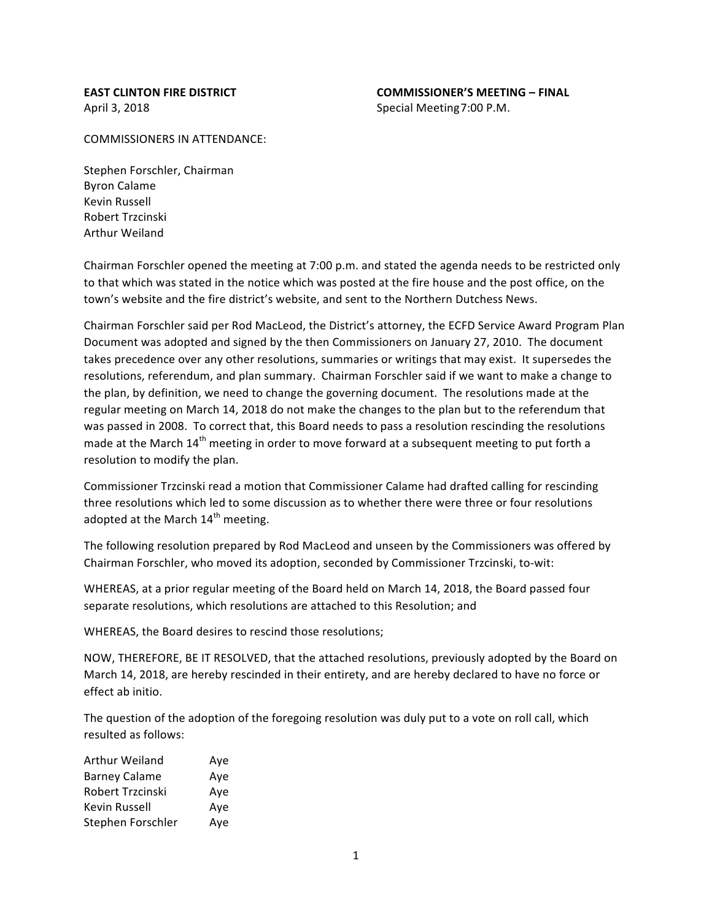$COMMISSIONERS IN ATTFNDANCE:$ 

Stephen Forschler, Chairman Byron Calame Kevin Russell Robert Trzcinski **Arthur Weiland** 

Chairman Forschler opened the meeting at 7:00 p.m. and stated the agenda needs to be restricted only to that which was stated in the notice which was posted at the fire house and the post office, on the town's website and the fire district's website, and sent to the Northern Dutchess News.

Chairman Forschler said per Rod MacLeod, the District's attorney, the ECFD Service Award Program Plan Document was adopted and signed by the then Commissioners on January 27, 2010. The document takes precedence over any other resolutions, summaries or writings that may exist. It supersedes the resolutions, referendum, and plan summary. Chairman Forschler said if we want to make a change to the plan, by definition, we need to change the governing document. The resolutions made at the regular meeting on March 14, 2018 do not make the changes to the plan but to the referendum that was passed in 2008. To correct that, this Board needs to pass a resolution rescinding the resolutions made at the March  $14^{th}$  meeting in order to move forward at a subsequent meeting to put forth a resolution to modify the plan.

Commissioner Trzcinski read a motion that Commissioner Calame had drafted calling for rescinding three resolutions which led to some discussion as to whether there were three or four resolutions adopted at the March 14<sup>th</sup> meeting.

The following resolution prepared by Rod MacLeod and unseen by the Commissioners was offered by Chairman Forschler, who moved its adoption, seconded by Commissioner Trzcinski, to-wit:

WHEREAS, at a prior regular meeting of the Board held on March 14, 2018, the Board passed four separate resolutions, which resolutions are attached to this Resolution; and

WHEREAS, the Board desires to rescind those resolutions;

NOW, THEREFORE, BE IT RESOLVED, that the attached resolutions, previously adopted by the Board on March 14, 2018, are hereby rescinded in their entirety, and are hereby declared to have no force or effect ab initio.

The question of the adoption of the foregoing resolution was duly put to a vote on roll call, which resulted as follows:

| Arthur Weiland       | Ave |
|----------------------|-----|
| <b>Barney Calame</b> | Ave |
| Robert Trzcinski     | Ave |
| Kevin Russell        | Aye |
| Stephen Forschler    | Ave |